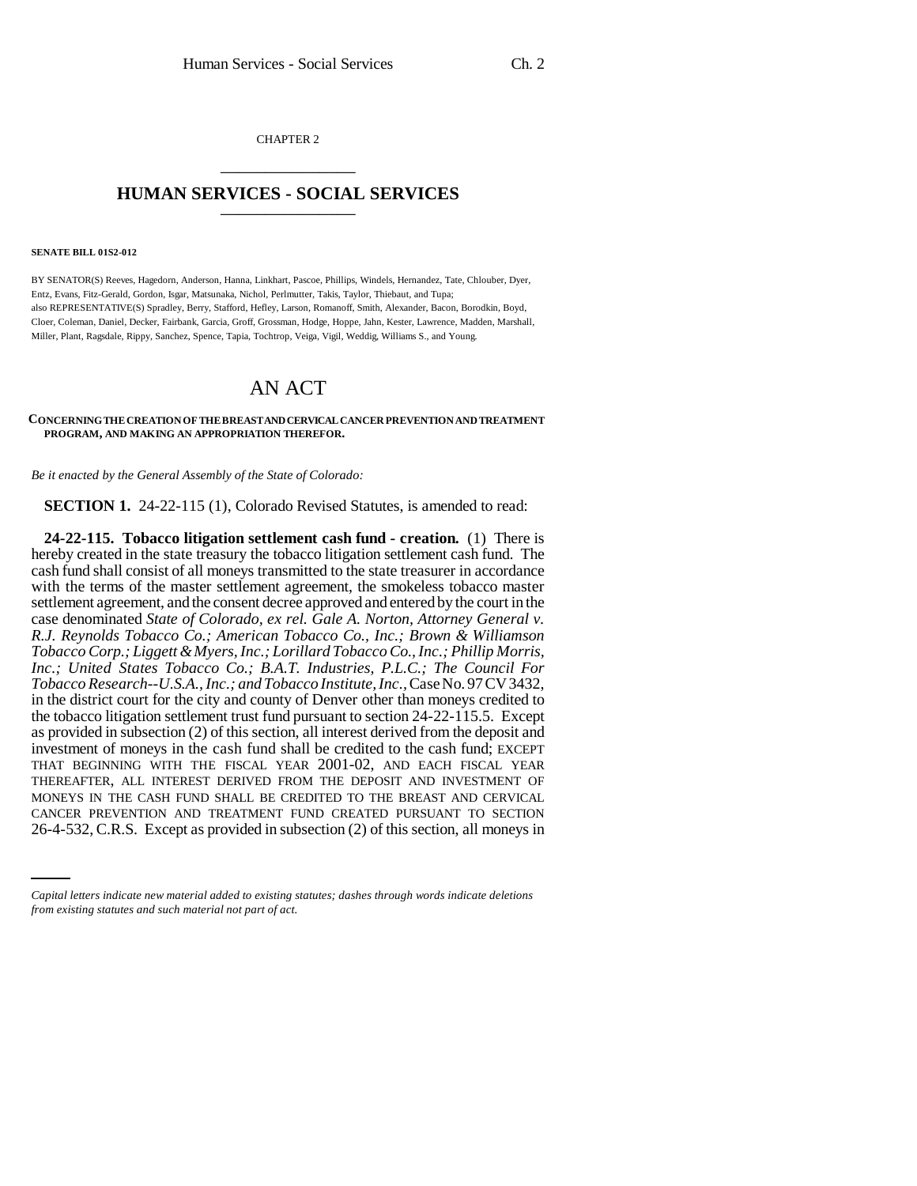CHAPTER 2 \_\_\_\_\_\_\_\_\_\_\_\_\_\_\_

## **HUMAN SERVICES - SOCIAL SERVICES** \_\_\_\_\_\_\_\_\_\_\_\_\_\_\_

## **SENATE BILL 01S2-012**

BY SENATOR(S) Reeves, Hagedorn, Anderson, Hanna, Linkhart, Pascoe, Phillips, Windels, Hernandez, Tate, Chlouber, Dyer, Entz, Evans, Fitz-Gerald, Gordon, Isgar, Matsunaka, Nichol, Perlmutter, Takis, Taylor, Thiebaut, and Tupa; also REPRESENTATIVE(S) Spradley, Berry, Stafford, Hefley, Larson, Romanoff, Smith, Alexander, Bacon, Borodkin, Boyd, Cloer, Coleman, Daniel, Decker, Fairbank, Garcia, Groff, Grossman, Hodge, Hoppe, Jahn, Kester, Lawrence, Madden, Marshall, Miller, Plant, Ragsdale, Rippy, Sanchez, Spence, Tapia, Tochtrop, Veiga, Vigil, Weddig, Williams S., and Young.

## AN ACT

## **CONCERNING THE CREATION OF THE BREAST AND CERVICAL CANCER PREVENTION AND TREATMENT PROGRAM, AND MAKING AN APPROPRIATION THEREFOR.**

*Be it enacted by the General Assembly of the State of Colorado:*

**SECTION 1.** 24-22-115 (1), Colorado Revised Statutes, is amended to read:

MONEYS IN THE CASH FUND SHALL BE CREDITED TO THE BREAST AND CERVICAL **24-22-115. Tobacco litigation settlement cash fund - creation.** (1) There is hereby created in the state treasury the tobacco litigation settlement cash fund. The cash fund shall consist of all moneys transmitted to the state treasurer in accordance with the terms of the master settlement agreement, the smokeless tobacco master settlement agreement, and the consent decree approved and entered by the court in the case denominated *State of Colorado, ex rel. Gale A. Norton, Attorney General v. R.J. Reynolds Tobacco Co.; American Tobacco Co., Inc.; Brown & Williamson Tobacco Corp.; Liggett & Myers, Inc.; Lorillard Tobacco Co., Inc.; Phillip Morris, Inc.; United States Tobacco Co.; B.A.T. Industries, P.L.C.; The Council For Tobacco Research--U.S.A., Inc.; and Tobacco Institute, Inc.,* Case No. 97 CV 3432, in the district court for the city and county of Denver other than moneys credited to the tobacco litigation settlement trust fund pursuant to section 24-22-115.5. Except as provided in subsection (2) of this section, all interest derived from the deposit and investment of moneys in the cash fund shall be credited to the cash fund; EXCEPT THAT BEGINNING WITH THE FISCAL YEAR 2001-02, AND EACH FISCAL YEAR THEREAFTER, ALL INTEREST DERIVED FROM THE DEPOSIT AND INVESTMENT OF CANCER PREVENTION AND TREATMENT FUND CREATED PURSUANT TO SECTION 26-4-532, C.R.S. Except as provided in subsection (2) of this section, all moneys in

*Capital letters indicate new material added to existing statutes; dashes through words indicate deletions from existing statutes and such material not part of act.*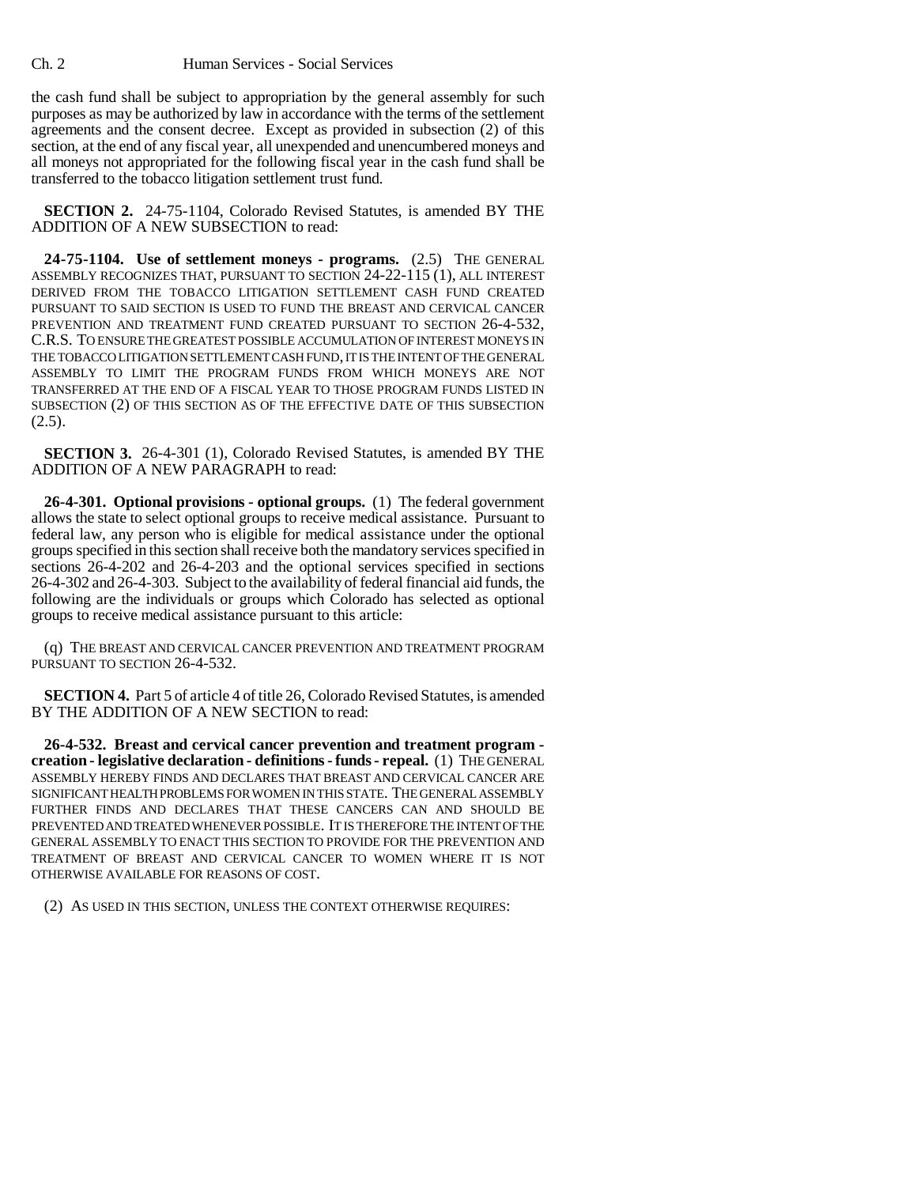Ch. 2 Human Services - Social Services

the cash fund shall be subject to appropriation by the general assembly for such purposes as may be authorized by law in accordance with the terms of the settlement agreements and the consent decree. Except as provided in subsection (2) of this section, at the end of any fiscal year, all unexpended and unencumbered moneys and all moneys not appropriated for the following fiscal year in the cash fund shall be transferred to the tobacco litigation settlement trust fund.

**SECTION 2.** 24-75-1104, Colorado Revised Statutes, is amended BY THE ADDITION OF A NEW SUBSECTION to read:

**24-75-1104. Use of settlement moneys - programs.** (2.5) THE GENERAL ASSEMBLY RECOGNIZES THAT, PURSUANT TO SECTION 24-22-115 (1), ALL INTEREST DERIVED FROM THE TOBACCO LITIGATION SETTLEMENT CASH FUND CREATED PURSUANT TO SAID SECTION IS USED TO FUND THE BREAST AND CERVICAL CANCER PREVENTION AND TREATMENT FUND CREATED PURSUANT TO SECTION 26-4-532, C.R.S. TO ENSURE THE GREATEST POSSIBLE ACCUMULATION OF INTEREST MONEYS IN THE TOBACCO LITIGATION SETTLEMENT CASH FUND, IT IS THE INTENT OF THE GENERAL ASSEMBLY TO LIMIT THE PROGRAM FUNDS FROM WHICH MONEYS ARE NOT TRANSFERRED AT THE END OF A FISCAL YEAR TO THOSE PROGRAM FUNDS LISTED IN SUBSECTION (2) OF THIS SECTION AS OF THE EFFECTIVE DATE OF THIS SUBSECTION  $(2.5).$ 

**SECTION 3.** 26-4-301 (1), Colorado Revised Statutes, is amended BY THE ADDITION OF A NEW PARAGRAPH to read:

**26-4-301. Optional provisions - optional groups.** (1) The federal government allows the state to select optional groups to receive medical assistance. Pursuant to federal law, any person who is eligible for medical assistance under the optional groups specified in this section shall receive both the mandatory services specified in sections 26-4-202 and 26-4-203 and the optional services specified in sections 26-4-302 and 26-4-303. Subject to the availability of federal financial aid funds, the following are the individuals or groups which Colorado has selected as optional groups to receive medical assistance pursuant to this article:

(q) THE BREAST AND CERVICAL CANCER PREVENTION AND TREATMENT PROGRAM PURSUANT TO SECTION 26-4-532.

**SECTION 4.** Part 5 of article 4 of title 26, Colorado Revised Statutes, is amended BY THE ADDITION OF A NEW SECTION to read:

**26-4-532. Breast and cervical cancer prevention and treatment program creation - legislative declaration - definitions - funds - repeal.** (1) THE GENERAL ASSEMBLY HEREBY FINDS AND DECLARES THAT BREAST AND CERVICAL CANCER ARE SIGNIFICANT HEALTH PROBLEMS FOR WOMEN IN THIS STATE. THE GENERAL ASSEMBLY FURTHER FINDS AND DECLARES THAT THESE CANCERS CAN AND SHOULD BE PREVENTED AND TREATED WHENEVER POSSIBLE. IT IS THEREFORE THE INTENT OF THE GENERAL ASSEMBLY TO ENACT THIS SECTION TO PROVIDE FOR THE PREVENTION AND TREATMENT OF BREAST AND CERVICAL CANCER TO WOMEN WHERE IT IS NOT OTHERWISE AVAILABLE FOR REASONS OF COST.

(2) AS USED IN THIS SECTION, UNLESS THE CONTEXT OTHERWISE REQUIRES: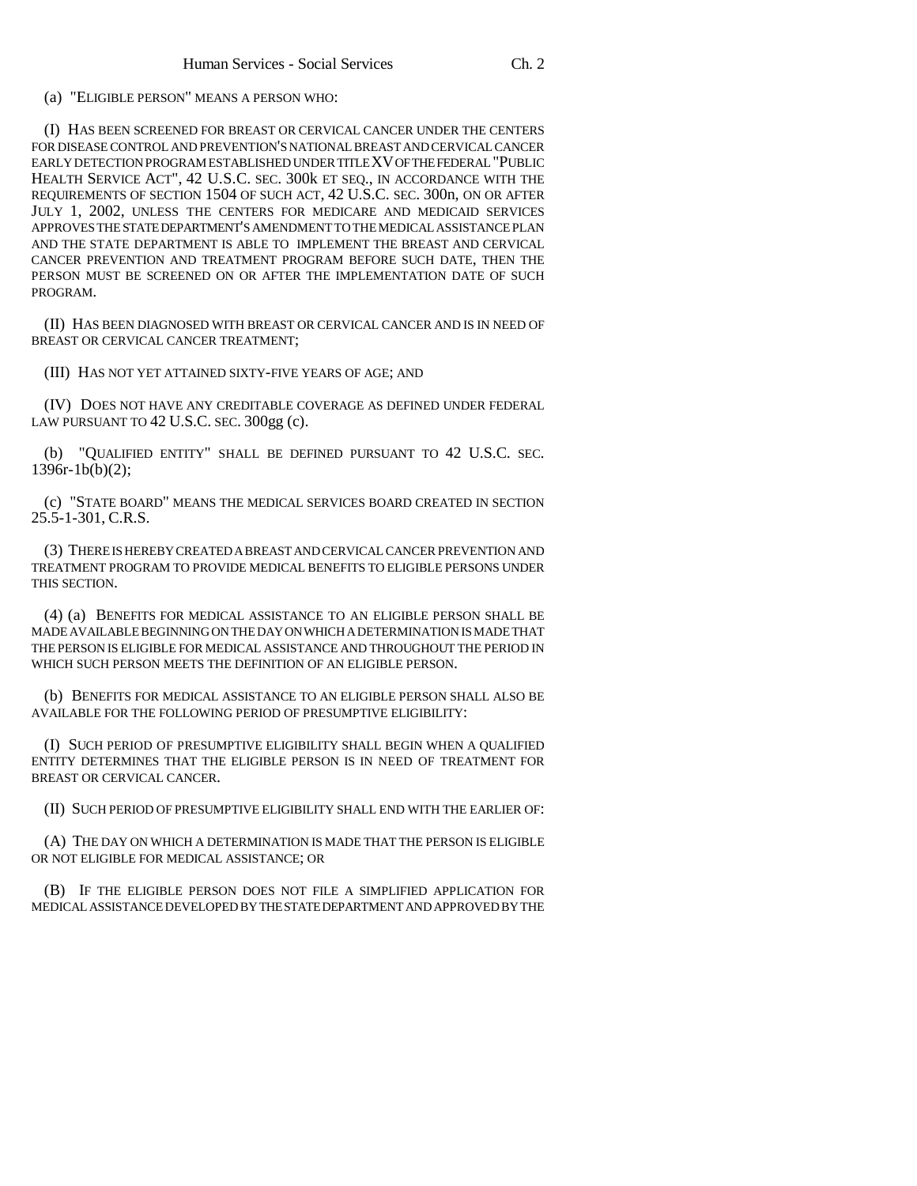(a) "ELIGIBLE PERSON" MEANS A PERSON WHO:

(I) HAS BEEN SCREENED FOR BREAST OR CERVICAL CANCER UNDER THE CENTERS FOR DISEASE CONTROL AND PREVENTION'S NATIONAL BREAST AND CERVICAL CANCER EARLY DETECTION PROGRAM ESTABLISHED UNDER TITLE XV OF THE FEDERAL "PUBLIC HEALTH SERVICE ACT", 42 U.S.C. SEC. 300k ET SEQ., IN ACCORDANCE WITH THE REQUIREMENTS OF SECTION 1504 OF SUCH ACT, 42 U.S.C. SEC. 300n, ON OR AFTER JULY 1, 2002, UNLESS THE CENTERS FOR MEDICARE AND MEDICAID SERVICES APPROVES THE STATE DEPARTMENT'S AMENDMENT TO THE MEDICAL ASSISTANCE PLAN AND THE STATE DEPARTMENT IS ABLE TO IMPLEMENT THE BREAST AND CERVICAL CANCER PREVENTION AND TREATMENT PROGRAM BEFORE SUCH DATE, THEN THE PERSON MUST BE SCREENED ON OR AFTER THE IMPLEMENTATION DATE OF SUCH PROGRAM.

(II) HAS BEEN DIAGNOSED WITH BREAST OR CERVICAL CANCER AND IS IN NEED OF BREAST OR CERVICAL CANCER TREATMENT;

(III) HAS NOT YET ATTAINED SIXTY-FIVE YEARS OF AGE; AND

(IV) DOES NOT HAVE ANY CREDITABLE COVERAGE AS DEFINED UNDER FEDERAL LAW PURSUANT TO 42 U.S.C. SEC. 300gg (c).

(b) "QUALIFIED ENTITY" SHALL BE DEFINED PURSUANT TO 42 U.S.C. SEC. 1396r-1b(b)(2);

(c) "STATE BOARD" MEANS THE MEDICAL SERVICES BOARD CREATED IN SECTION 25.5-1-301, C.R.S.

(3) THERE IS HEREBY CREATED A BREAST AND CERVICAL CANCER PREVENTION AND TREATMENT PROGRAM TO PROVIDE MEDICAL BENEFITS TO ELIGIBLE PERSONS UNDER THIS SECTION.

(4) (a) BENEFITS FOR MEDICAL ASSISTANCE TO AN ELIGIBLE PERSON SHALL BE MADE AVAILABLE BEGINNING ON THE DAY ON WHICH A DETERMINATION IS MADE THAT THE PERSON IS ELIGIBLE FOR MEDICAL ASSISTANCE AND THROUGHOUT THE PERIOD IN WHICH SUCH PERSON MEETS THE DEFINITION OF AN ELIGIBLE PERSON.

(b) BENEFITS FOR MEDICAL ASSISTANCE TO AN ELIGIBLE PERSON SHALL ALSO BE AVAILABLE FOR THE FOLLOWING PERIOD OF PRESUMPTIVE ELIGIBILITY:

(I) SUCH PERIOD OF PRESUMPTIVE ELIGIBILITY SHALL BEGIN WHEN A QUALIFIED ENTITY DETERMINES THAT THE ELIGIBLE PERSON IS IN NEED OF TREATMENT FOR BREAST OR CERVICAL CANCER.

(II) SUCH PERIOD OF PRESUMPTIVE ELIGIBILITY SHALL END WITH THE EARLIER OF:

(A) THE DAY ON WHICH A DETERMINATION IS MADE THAT THE PERSON IS ELIGIBLE OR NOT ELIGIBLE FOR MEDICAL ASSISTANCE; OR

(B) IF THE ELIGIBLE PERSON DOES NOT FILE A SIMPLIFIED APPLICATION FOR MEDICAL ASSISTANCE DEVELOPED BY THE STATE DEPARTMENT AND APPROVED BY THE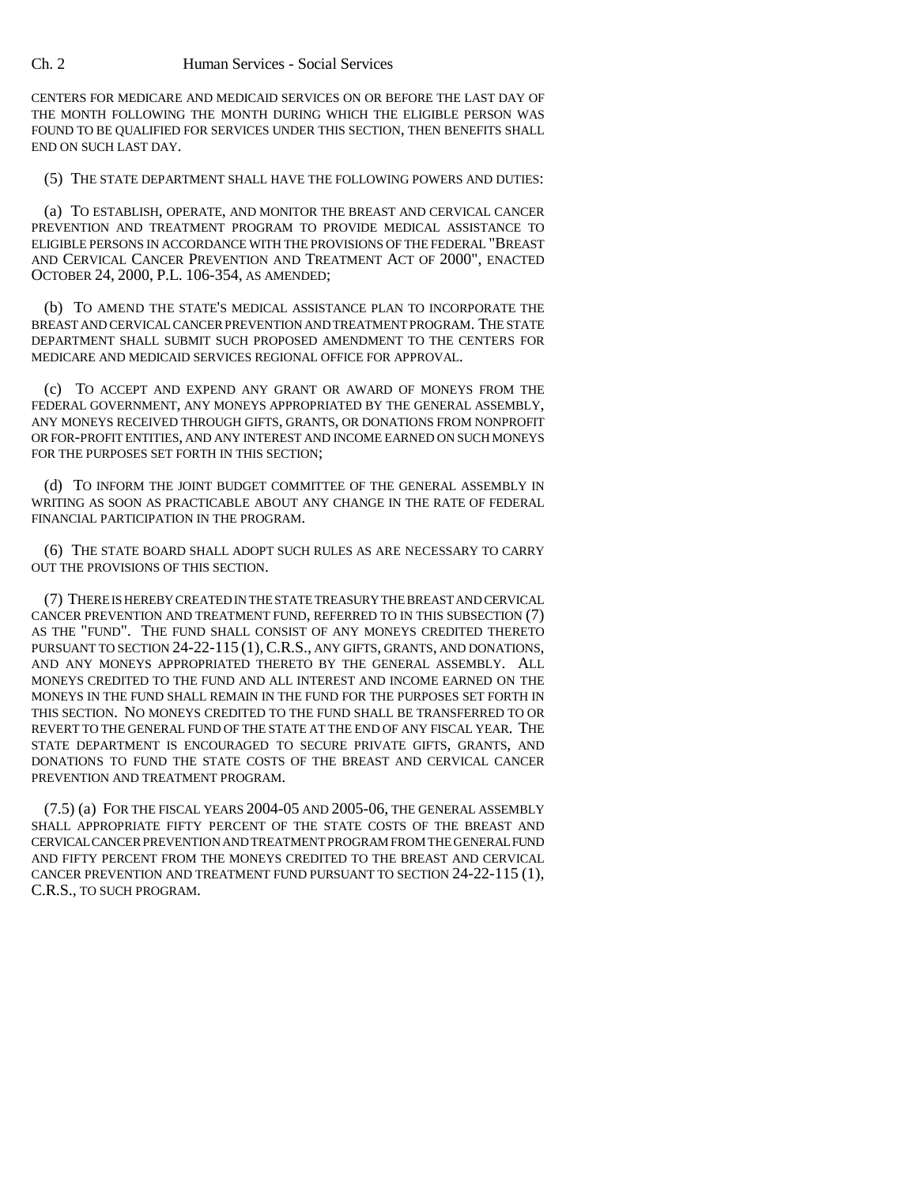CENTERS FOR MEDICARE AND MEDICAID SERVICES ON OR BEFORE THE LAST DAY OF THE MONTH FOLLOWING THE MONTH DURING WHICH THE ELIGIBLE PERSON WAS FOUND TO BE QUALIFIED FOR SERVICES UNDER THIS SECTION, THEN BENEFITS SHALL END ON SUCH LAST DAY.

(5) THE STATE DEPARTMENT SHALL HAVE THE FOLLOWING POWERS AND DUTIES:

(a) TO ESTABLISH, OPERATE, AND MONITOR THE BREAST AND CERVICAL CANCER PREVENTION AND TREATMENT PROGRAM TO PROVIDE MEDICAL ASSISTANCE TO ELIGIBLE PERSONS IN ACCORDANCE WITH THE PROVISIONS OF THE FEDERAL "BREAST AND CERVICAL CANCER PREVENTION AND TREATMENT ACT OF 2000", ENACTED OCTOBER 24, 2000, P.L. 106-354, AS AMENDED;

(b) TO AMEND THE STATE'S MEDICAL ASSISTANCE PLAN TO INCORPORATE THE BREAST AND CERVICAL CANCER PREVENTION AND TREATMENT PROGRAM. THE STATE DEPARTMENT SHALL SUBMIT SUCH PROPOSED AMENDMENT TO THE CENTERS FOR MEDICARE AND MEDICAID SERVICES REGIONAL OFFICE FOR APPROVAL.

(c) TO ACCEPT AND EXPEND ANY GRANT OR AWARD OF MONEYS FROM THE FEDERAL GOVERNMENT, ANY MONEYS APPROPRIATED BY THE GENERAL ASSEMBLY, ANY MONEYS RECEIVED THROUGH GIFTS, GRANTS, OR DONATIONS FROM NONPROFIT OR FOR-PROFIT ENTITIES, AND ANY INTEREST AND INCOME EARNED ON SUCH MONEYS FOR THE PURPOSES SET FORTH IN THIS SECTION;

(d) TO INFORM THE JOINT BUDGET COMMITTEE OF THE GENERAL ASSEMBLY IN WRITING AS SOON AS PRACTICABLE ABOUT ANY CHANGE IN THE RATE OF FEDERAL FINANCIAL PARTICIPATION IN THE PROGRAM.

(6) THE STATE BOARD SHALL ADOPT SUCH RULES AS ARE NECESSARY TO CARRY OUT THE PROVISIONS OF THIS SECTION.

(7) THERE IS HEREBY CREATED IN THE STATE TREASURY THE BREAST AND CERVICAL CANCER PREVENTION AND TREATMENT FUND, REFERRED TO IN THIS SUBSECTION (7) AS THE "FUND". THE FUND SHALL CONSIST OF ANY MONEYS CREDITED THERETO PURSUANT TO SECTION 24-22-115 (1),C.R.S., ANY GIFTS, GRANTS, AND DONATIONS, AND ANY MONEYS APPROPRIATED THERETO BY THE GENERAL ASSEMBLY. ALL MONEYS CREDITED TO THE FUND AND ALL INTEREST AND INCOME EARNED ON THE MONEYS IN THE FUND SHALL REMAIN IN THE FUND FOR THE PURPOSES SET FORTH IN THIS SECTION. NO MONEYS CREDITED TO THE FUND SHALL BE TRANSFERRED TO OR REVERT TO THE GENERAL FUND OF THE STATE AT THE END OF ANY FISCAL YEAR. THE STATE DEPARTMENT IS ENCOURAGED TO SECURE PRIVATE GIFTS, GRANTS, AND DONATIONS TO FUND THE STATE COSTS OF THE BREAST AND CERVICAL CANCER PREVENTION AND TREATMENT PROGRAM.

(7.5) (a) FOR THE FISCAL YEARS 2004-05 AND 2005-06, THE GENERAL ASSEMBLY SHALL APPROPRIATE FIFTY PERCENT OF THE STATE COSTS OF THE BREAST AND CERVICAL CANCER PREVENTION AND TREATMENT PROGRAM FROM THE GENERAL FUND AND FIFTY PERCENT FROM THE MONEYS CREDITED TO THE BREAST AND CERVICAL CANCER PREVENTION AND TREATMENT FUND PURSUANT TO SECTION 24-22-115 (1), C.R.S., TO SUCH PROGRAM.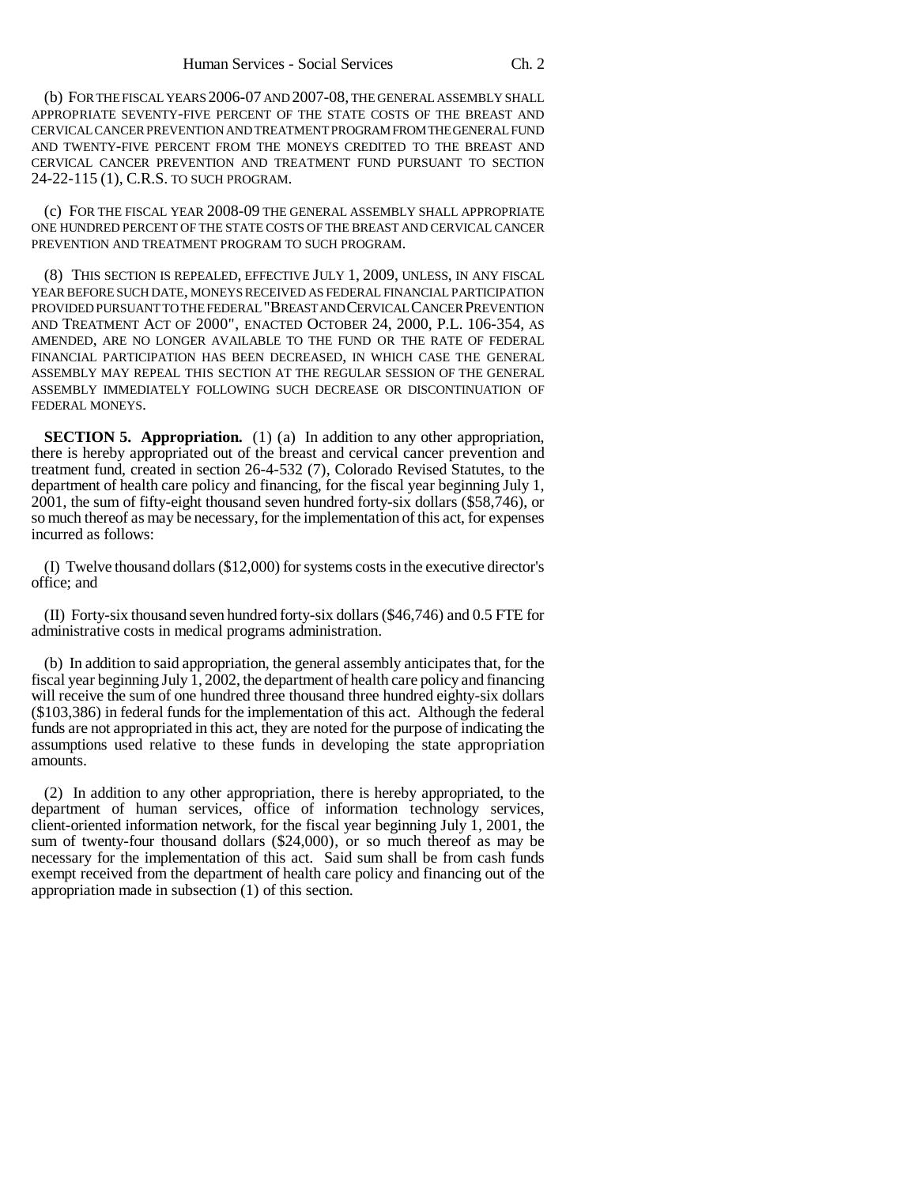(b) FOR THE FISCAL YEARS 2006-07 AND 2007-08, THE GENERAL ASSEMBLY SHALL APPROPRIATE SEVENTY-FIVE PERCENT OF THE STATE COSTS OF THE BREAST AND CERVICAL CANCER PREVENTION AND TREATMENT PROGRAM FROM THE GENERAL FUND AND TWENTY-FIVE PERCENT FROM THE MONEYS CREDITED TO THE BREAST AND CERVICAL CANCER PREVENTION AND TREATMENT FUND PURSUANT TO SECTION 24-22-115 (1), C.R.S. TO SUCH PROGRAM.

(c) FOR THE FISCAL YEAR 2008-09 THE GENERAL ASSEMBLY SHALL APPROPRIATE ONE HUNDRED PERCENT OF THE STATE COSTS OF THE BREAST AND CERVICAL CANCER PREVENTION AND TREATMENT PROGRAM TO SUCH PROGRAM.

(8) THIS SECTION IS REPEALED, EFFECTIVE JULY 1, 2009, UNLESS, IN ANY FISCAL YEAR BEFORE SUCH DATE, MONEYS RECEIVED AS FEDERAL FINANCIAL PARTICIPATION PROVIDED PURSUANT TO THE FEDERAL "BREAST AND CERVICAL CANCER PREVENTION AND TREATMENT ACT OF 2000", ENACTED OCTOBER 24, 2000, P.L. 106-354, AS AMENDED, ARE NO LONGER AVAILABLE TO THE FUND OR THE RATE OF FEDERAL FINANCIAL PARTICIPATION HAS BEEN DECREASED, IN WHICH CASE THE GENERAL ASSEMBLY MAY REPEAL THIS SECTION AT THE REGULAR SESSION OF THE GENERAL ASSEMBLY IMMEDIATELY FOLLOWING SUCH DECREASE OR DISCONTINUATION OF FEDERAL MONEYS.

**SECTION 5. Appropriation.** (1) (a) In addition to any other appropriation, there is hereby appropriated out of the breast and cervical cancer prevention and treatment fund, created in section 26-4-532 (7), Colorado Revised Statutes, to the department of health care policy and financing, for the fiscal year beginning July 1, 2001, the sum of fifty-eight thousand seven hundred forty-six dollars (\$58,746), or so much thereof as may be necessary, for the implementation of this act, for expenses incurred as follows:

(I) Twelve thousand dollars (\$12,000) for systems costs in the executive director's office; and

(II) Forty-six thousand seven hundred forty-six dollars (\$46,746) and 0.5 FTE for administrative costs in medical programs administration.

(b) In addition to said appropriation, the general assembly anticipates that, for the fiscal year beginning July 1, 2002, the department of health care policy and financing will receive the sum of one hundred three thousand three hundred eighty-six dollars (\$103,386) in federal funds for the implementation of this act. Although the federal funds are not appropriated in this act, they are noted for the purpose of indicating the assumptions used relative to these funds in developing the state appropriation amounts.

(2) In addition to any other appropriation, there is hereby appropriated, to the department of human services, office of information technology services, client-oriented information network, for the fiscal year beginning July 1, 2001, the sum of twenty-four thousand dollars (\$24,000), or so much thereof as may be necessary for the implementation of this act. Said sum shall be from cash funds exempt received from the department of health care policy and financing out of the appropriation made in subsection (1) of this section.